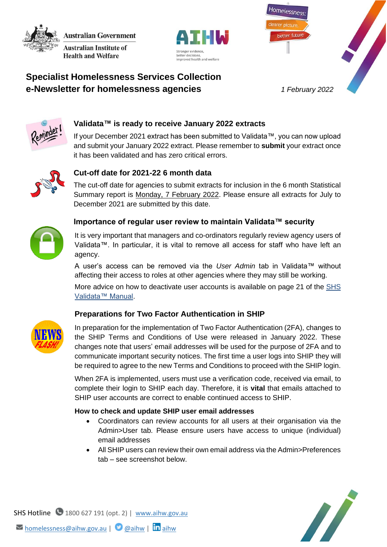**Australian Government Australian Institute of** 

**Health and Welfare** 





# **Specialist Homelessness Services Collection e-Newsletter for homelessness agencies** *1 February 2022*



# **Validata™ is ready to receive January 2022 extracts**

If your December 2021 extract has been submitted to Validata™, you can now upload and submit your January 2022 extract. Please remember to **submit** your extract once it has been validated and has zero critical errors.



## **Cut-off date for 2021-22 6 month data**

The cut-off date for agencies to submit extracts for inclusion in the 6 month Statistical Summary report is Monday, 7 February 2022. Please ensure all extracts for July to December 2021 are submitted by this date.



#### **Importance of regular user review to maintain Validata™ security**

It is very important that managers and co-ordinators regularly review agency users of Validata™. In particular, it is vital to remove all access for staff who have left an agency.

A user's access can be removed via the *User Admin* tab in Validata™ without affecting their access to roles at other agencies where they may still be working.

More advice on how to deactivate user accounts is available on page 21 of the SHS [Validata™ Manual.](https://www.aihw.gov.au/getmedia/d5334a5a-31aa-42f1-91b1-7adc69755e8b/SHS_Validata_Manual_August_2018.pdf.aspx)

### **Preparations for Two Factor Authentication in SHIP**



In preparation for the implementation of Two Factor Authentication (2FA), changes to the SHIP Terms and Conditions of Use were released in January 2022. These changes note that users' email addresses will be used for the purpose of 2FA and to communicate important security notices. The first time a user logs into SHIP they will be required to agree to the new Terms and Conditions to proceed with the SHIP login.

When 2FA is implemented, users must use a verification code, received via email, to complete their login to SHIP each day. Therefore, it is **vital** that emails attached to SHIP user accounts are correct to enable continued access to SHIP.

#### **How to check and update SHIP user email addresses**

- Coordinators can review accounts for all users at their organisation via the Admin>User tab. Please ensure users have access to unique (individual) email addresses
- All SHIP users can review their own email address via the Admin>Preferences tab – see screenshot below.



SHS Hotline 1800 627 191 (opt. 2) | [www.aihw.gov.au](http://www.aihw.gov.au/)  $\triangleright$  [homelessness@aihw.gov.au](mailto:homelessness@aihw.gov.au) |  $\triangleright$  [@aihw](https://twitter.com/aihw) |  $\ln$ [aihw](https://www.linkedin.com/company/australian-institute-of-health-and-welfare/)